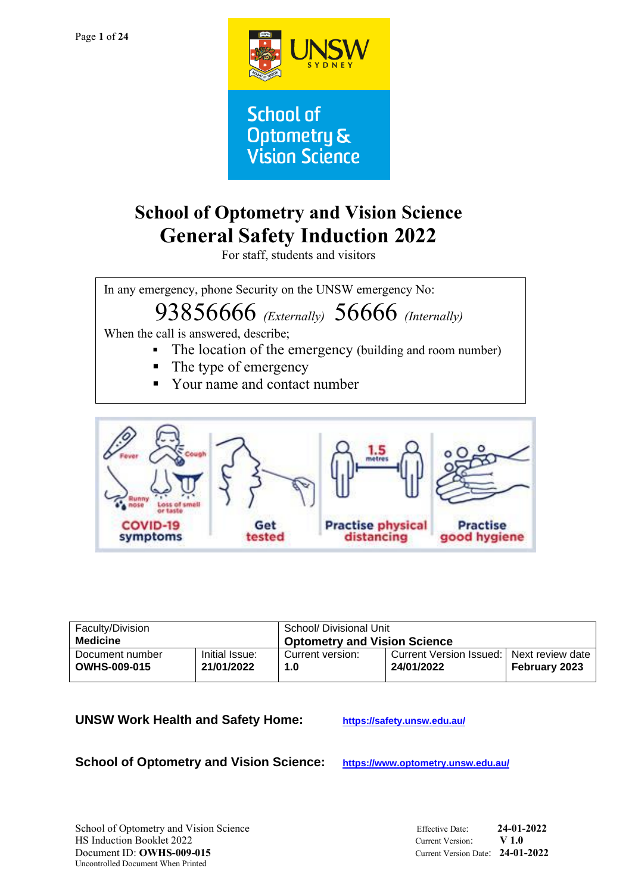

**School of Optometry & Vision Science** 

# **School of Optometry and Vision Science General Safety Induction 2022**

For staff, students and visitors

In any emergency, phone Security on the UNSW emergency No:

# 93856666 *(Externally)* 56666 *(Internally)*

When the call is answered, describe;

- The location of the emergency (building and room number)
- The type of emergency
- Your name and contact number



| Faculty/Division    |                | School/ Divisional Unit                   |                                            |                      |
|---------------------|----------------|-------------------------------------------|--------------------------------------------|----------------------|
| Medicine            |                | <sup>1</sup> Optometry and Vision Science |                                            |                      |
| Document number     | Initial Issue: | Current version:                          | Current Version Issued: Next review date I | <b>February 2023</b> |
| <b>OWHS-009-015</b> | 21/01/2022     | 1.0                                       | 24/01/2022                                 |                      |

### **UNSW Work Health and Safety Home: <https://safety.unsw.edu.au/>**

**School of Optometry and Vision Science: <https://www.optometry.unsw.edu.au/>**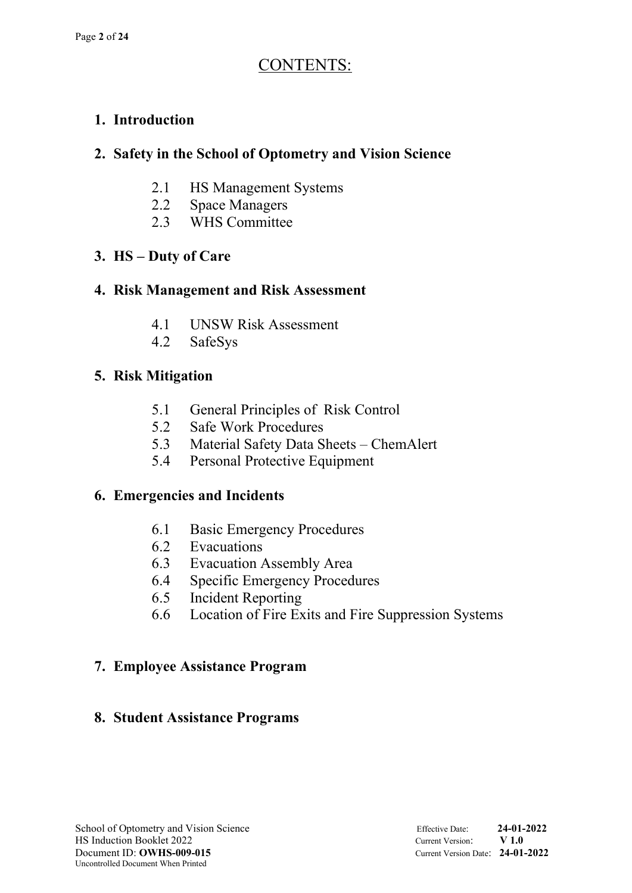## CONTENTS:

## **1. Introduction**

## **2. Safety in the School of Optometry and Vision Science**

- 2.1 HS Management Systems
- 2.2 Space Managers
- 2.3 WHS Committee

## **3. HS – Duty of Care**

### **4. Risk Management and Risk Assessment**

- 4.1 UNSW Risk Assessment
- 4.2 SafeSys

### **5. Risk Mitigation**

- 5.1 General Principles of Risk Control
- 5.2 Safe Work Procedures
- 5.3 Material Safety Data Sheets ChemAlert
- 5.4 Personal Protective Equipment

### **6. Emergencies and Incidents**

- 6.1 Basic Emergency Procedures
- 6.2 Evacuations
- 6.3 Evacuation Assembly Area
- 6.4 Specific Emergency Procedures
- 6.5 Incident Reporting
- 6.6 Location of Fire Exits and Fire Suppression Systems

### **7. Employee Assistance Program**

### **8. Student Assistance Programs**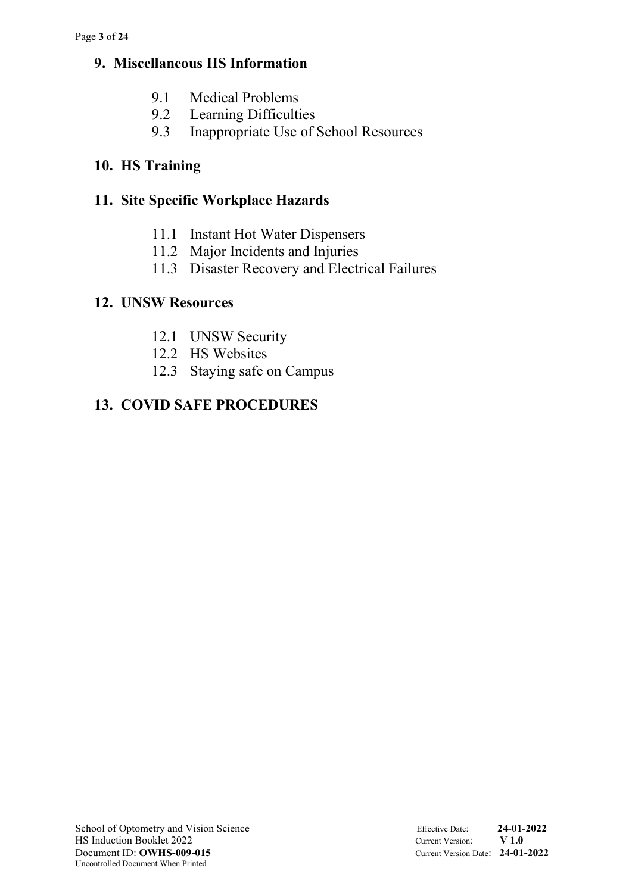### **9. Miscellaneous HS Information**

- 9.1 Medical Problems
- 9.2 Learning Difficulties
- 9.3 Inappropriate Use of School Resources

## **10. HS Training**

## **11. Site Specific Workplace Hazards**

- 11.1 Instant Hot Water Dispensers
- 11.2 Major Incidents and Injuries
- 11.3 Disaster Recovery and Electrical Failures

## **12. UNSW Resources**

- 12.1 UNSW Security
- 12.2 HS Websites
- 12.3 Staying safe on Campus

## **13. COVID SAFE PROCEDURES**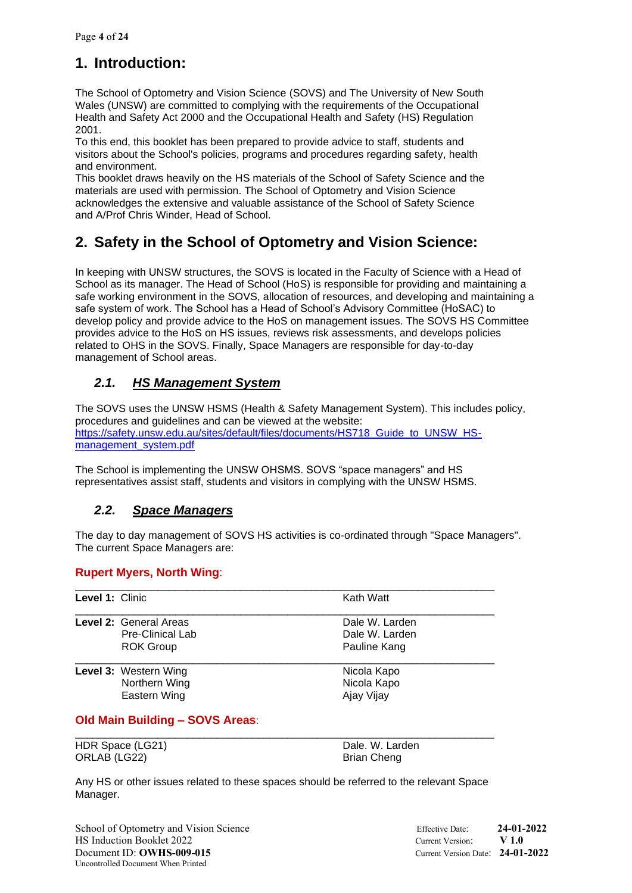## **1. Introduction:**

The School of Optometry and Vision Science (SOVS) and The University of New South Wales (UNSW) are committed to complying with the requirements of the Occupational Health and Safety Act 2000 and the Occupational Health and Safety (HS) Regulation 2001.

To this end, this booklet has been prepared to provide advice to staff, students and visitors about the School's policies, programs and procedures regarding safety, health and environment.

This booklet draws heavily on the HS materials of the School of Safety Science and the materials are used with permission. The School of Optometry and Vision Science acknowledges the extensive and valuable assistance of the School of Safety Science and A/Prof Chris Winder, Head of School.

## **2. Safety in the School of Optometry and Vision Science:**

In keeping with UNSW structures, the SOVS is located in the Faculty of Science with a Head of School as its manager. The Head of School (HoS) is responsible for providing and maintaining a safe working environment in the SOVS, allocation of resources, and developing and maintaining a safe system of work. The School has a Head of School's Advisory Committee (HoSAC) to develop policy and provide advice to the HoS on management issues. The SOVS HS Committee provides advice to the HoS on HS issues, reviews risk assessments, and develops policies related to OHS in the SOVS. Finally, Space Managers are responsible for day-to-day management of School areas.

### *2.1. HS Management System*

The SOVS uses the UNSW HSMS (Health & Safety Management System). This includes policy, procedures and guidelines and can be viewed at the website: [https://safety.unsw.edu.au/sites/default/files/documents/HS718\\_Guide\\_to\\_UNSW\\_HS](https://safety.unsw.edu.au/sites/default/files/documents/HS718_Guide_to_UNSW_HS-management_system.pdf)[management\\_system.pdf](https://safety.unsw.edu.au/sites/default/files/documents/HS718_Guide_to_UNSW_HS-management_system.pdf)

The School is implementing the UNSW OHSMS. SOVS "space managers" and HS representatives assist staff, students and visitors in complying with the UNSW HSMS.

### *2.2. Space Managers*

The day to day management of SOVS HS activities is co-ordinated through "Space Managers". The current Space Managers are:

### **Rupert Myers, North Wing**:

| Level 1: Clinic |                               | Kath Watt      |
|-----------------|-------------------------------|----------------|
|                 | <b>Level 2: General Areas</b> | Dale W. Larden |
|                 | <b>Pre-Clinical Lab</b>       | Dale W. Larden |
|                 | <b>ROK Group</b>              | Pauline Kang   |
|                 | Level 3: Western Wing         | Nicola Kapo    |
|                 | Northern Wing                 | Nicola Kapo    |
|                 | Eastern Wing                  | Ajay Vijay     |

### **Old Main Building – SOVS Areas**:

| HDR Space (LG21) |  |
|------------------|--|
| ORLAB (LG22)     |  |

Dale. W. Larden Brian Cheng

Any HS or other issues related to these spaces should be referred to the relevant Space Manager.

\_\_\_\_\_\_\_\_\_\_\_\_\_\_\_\_\_\_\_\_\_\_\_\_\_\_\_\_\_\_\_\_\_\_\_\_\_\_\_\_\_\_\_\_\_\_\_\_\_\_\_\_\_\_\_\_\_\_\_\_\_\_\_\_\_\_\_\_\_\_\_

School of Optometry and Vision Science Effective Date: **24-01-2022** HS Induction Booklet 2022 Current Version: **V 1.0** Document ID: **OWHS-009-015** Current Version Date: **24-01-2022** Uncontrolled Document When Printed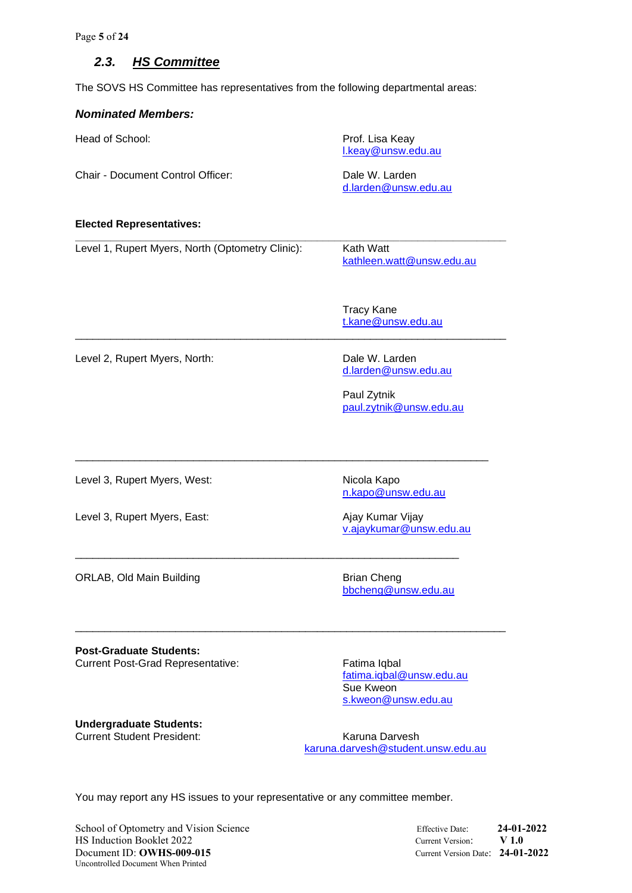Page **5** of **24**

#### *2.3. HS Committee*

The SOVS HS Committee has representatives from the following departmental areas:

#### *Nominated Members:*

| Head of School:                   | Prof. Lisa Keay<br>I.keay@unsw.edu.au  |
|-----------------------------------|----------------------------------------|
| Chair - Document Control Officer: | Dale W. Larden<br>d.larden@unsw.edu.au |

\_\_\_\_\_\_\_\_\_\_\_\_\_\_\_\_\_\_\_\_\_\_\_\_\_\_\_\_\_\_\_\_\_\_\_\_\_\_\_\_\_\_\_\_\_\_\_\_\_\_\_\_\_\_\_\_\_\_\_\_\_\_\_\_\_\_\_\_\_\_\_\_\_

\_\_\_\_\_\_\_\_\_\_\_\_\_\_\_\_\_\_\_\_\_\_\_\_\_\_\_\_\_\_\_\_\_\_\_\_\_\_\_\_\_\_\_\_\_\_\_\_\_\_\_\_\_\_\_\_\_\_\_\_\_\_\_\_\_\_\_\_\_\_

\_\_\_\_\_\_\_\_\_\_\_\_\_\_\_\_\_\_\_\_\_\_\_\_\_\_\_\_\_\_\_\_\_\_\_\_\_\_\_\_\_\_\_\_\_\_\_\_\_\_\_\_\_\_\_\_\_\_\_\_\_\_\_\_\_

\_\_\_\_\_\_\_\_\_\_\_\_\_\_\_\_\_\_\_\_\_\_\_\_\_\_\_\_\_\_\_\_\_\_\_\_\_\_\_\_\_\_\_\_\_\_\_\_\_\_\_\_\_\_\_\_\_\_\_\_\_\_\_\_\_\_\_\_\_\_\_\_\_

#### **Elected Representatives:**

Level 1, Rupert Myers, North (Optometry Clinic): Kath Watt

**\_\_\_\_\_\_\_\_\_\_\_\_\_\_\_\_\_\_\_\_\_\_\_\_\_\_\_\_\_\_\_\_\_\_\_\_\_\_\_\_\_\_\_\_\_\_\_\_\_\_\_\_\_\_\_\_\_\_\_\_\_\_\_\_\_\_\_\_\_\_\_\_\_** [kathleen.watt@unsw.edu.au](mailto:kathleen.watt@unsw.edu.au)

> Tracy Kane [t.kane@unsw.edu.au](mailto:t.kane@unsw.edu.au)

Level 2, Rupert Myers, North: Dale W. Larden

[d.larden@unsw.edu.au](mailto:d.larden@unsw.edu.au)

Paul Zytnik [paul.zytnik@unsw.edu.au](mailto:paul.zytnik@unsw.edu.au)

Level 3, Rupert Myers, West: Nicola Kapo

Level 3, Rupert Myers, East: Ajay Kumar Vijay

[v.ajaykumar@unsw.edu.au](mailto:v.ajaykumar@unsw.edu.au)

[n.kapo@unsw.edu.au](mailto:n.kapo@unsw.edu.au)

ORLAB, Old Main Building Brian Cheng

[bbcheng@unsw.edu.au](mailto:bbcheng@unsw.edu.au)

**Post-Graduate Students:** Current Post-Grad Representative: Fatima Iqbal

[fatima.iqbal@unsw.edu.au](mailto:fatima.iqbal@unsw.edu.au) Sue Kweon [s.kweon@unsw.edu.au](mailto:s.kweon@unsw.edu.au)

**Undergraduate Students:** Current Student President: Karuna Darvesh

[karuna.darvesh@student.unsw.edu.au](mailto:karuna.darvesh@student.unsw.edu.au)

You may report any HS issues to your representative or any committee member.

School of Optometry and Vision Science Effective Date: **24-01-2022** HS Induction Booklet 2022 Current Version: **V 1.0** Document ID: **OWHS-009-015** Current Version Date: **24-01-2022** Uncontrolled Document When Printed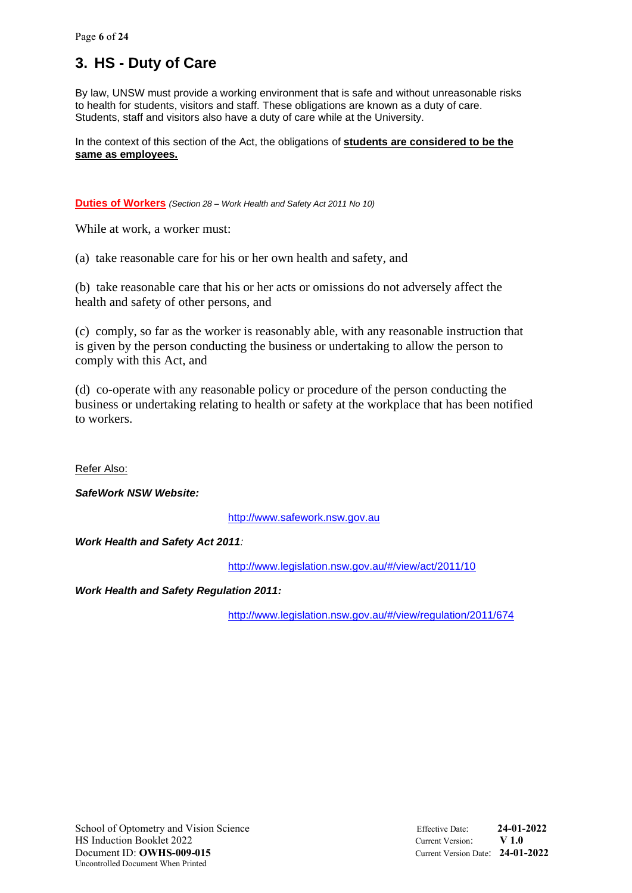## **3. HS - Duty of Care**

By law, UNSW must provide a working environment that is safe and without unreasonable risks to health for students, visitors and staff. These obligations are known as a duty of care. Students, staff and visitors also have a duty of care while at the University.

In the context of this section of the Act, the obligations of **students are considered to be the same as employees.**

**Duties of Workers** *(Section 28 – Work Health and Safety Act 2011 No 10)*

While at work, a worker must:

(a) take reasonable care for his or her own health and safety, and

(b) take reasonable care that his or her acts or omissions do not adversely affect the health and safety of other persons, and

(c) comply, so far as the worker is reasonably able, with any reasonable instruction that is given by the person conducting the business or undertaking to allow the person to comply with this Act, and

(d) co-operate with any reasonable policy or procedure of the person conducting the business or undertaking relating to health or safety at the workplace that has been notified to workers.

Refer Also:

*SafeWork NSW Website:*

[http://www.safework.nsw.gov.au](http://www.safework.nsw.gov.au/)

*Work Health and Safety Act 2011:*

<http://www.legislation.nsw.gov.au/#/view/act/2011/10>

*Work Health and Safety Regulation 2011:*

<http://www.legislation.nsw.gov.au/#/view/regulation/2011/674>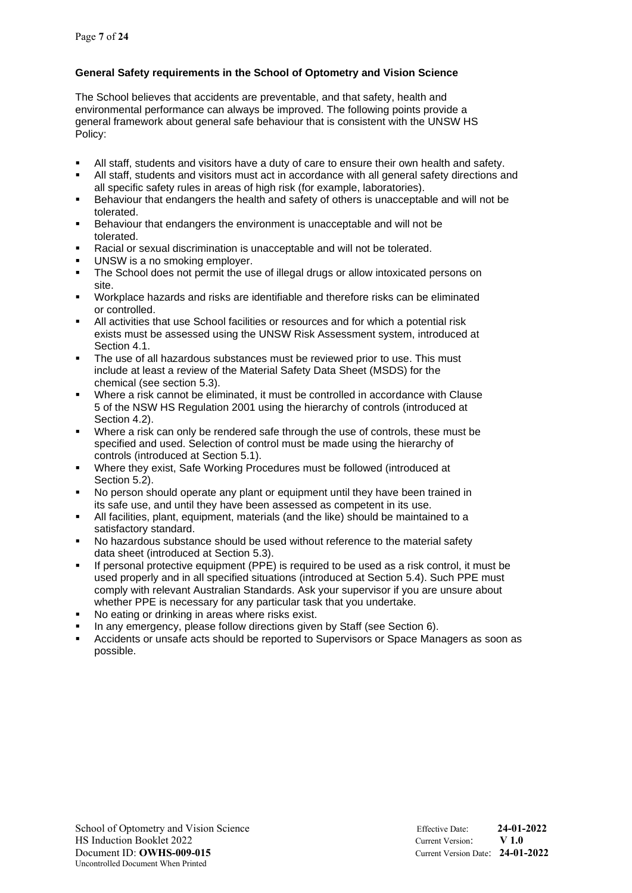#### **General Safety requirements in the School of Optometry and Vision Science**

The School believes that accidents are preventable, and that safety, health and environmental performance can always be improved. The following points provide a general framework about general safe behaviour that is consistent with the UNSW HS Policy:

- All staff, students and visitors have a duty of care to ensure their own health and safety.
- All staff, students and visitors must act in accordance with all general safety directions and all specific safety rules in areas of high risk (for example, laboratories).
- Behaviour that endangers the health and safety of others is unacceptable and will not be tolerated.
- Behaviour that endangers the environment is unacceptable and will not be tolerated.
- Racial or sexual discrimination is unacceptable and will not be tolerated.
- UNSW is a no smoking employer.
- **•** The School does not permit the use of illegal drugs or allow intoxicated persons on site.
- Workplace hazards and risks are identifiable and therefore risks can be eliminated or controlled.
- All activities that use School facilities or resources and for which a potential risk exists must be assessed using the UNSW Risk Assessment system, introduced at Section 4.1.
- The use of all hazardous substances must be reviewed prior to use. This must include at least a review of the Material Safety Data Sheet (MSDS) for the chemical (see section 5.3).
- Where a risk cannot be eliminated, it must be controlled in accordance with Clause 5 of the NSW HS Regulation 2001 using the hierarchy of controls (introduced at Section 4.2).
- Where a risk can only be rendered safe through the use of controls, these must be specified and used. Selection of control must be made using the hierarchy of controls (introduced at Section 5.1).
- Where they exist, Safe Working Procedures must be followed (introduced at Section 5.2).
- No person should operate any plant or equipment until they have been trained in its safe use, and until they have been assessed as competent in its use.
- All facilities, plant, equipment, materials (and the like) should be maintained to a satisfactory standard.
- No hazardous substance should be used without reference to the material safety data sheet (introduced at Section 5.3).
- If personal protective equipment (PPE) is required to be used as a risk control, it must be used properly and in all specified situations (introduced at Section 5.4). Such PPE must comply with relevant Australian Standards. Ask your supervisor if you are unsure about whether PPE is necessary for any particular task that you undertake.
- No eating or drinking in areas where risks exist.
- In any emergency, please follow directions given by Staff (see Section 6).
- Accidents or unsafe acts should be reported to Supervisors or Space Managers as soon as possible.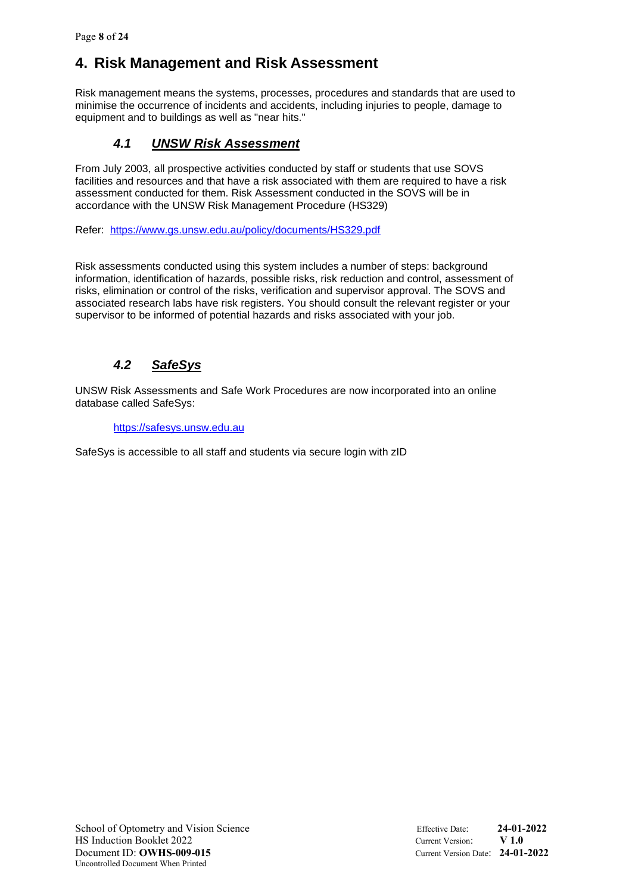## **4. Risk Management and Risk Assessment**

Risk management means the systems, processes, procedures and standards that are used to minimise the occurrence of incidents and accidents, including injuries to people, damage to equipment and to buildings as well as "near hits."

### *4.1 UNSW Risk Assessment*

From July 2003, all prospective activities conducted by staff or students that use SOVS facilities and resources and that have a risk associated with them are required to have a risk assessment conducted for them. Risk Assessment conducted in the SOVS will be in accordance with the UNSW Risk Management Procedure (HS329)

Refer: <https://www.gs.unsw.edu.au/policy/documents/HS329.pdf>

Risk assessments conducted using this system includes a number of steps: background information, identification of hazards, possible risks, risk reduction and control, assessment of risks, elimination or control of the risks, verification and supervisor approval. The SOVS and associated research labs have risk registers. You should consult the relevant register or your supervisor to be informed of potential hazards and risks associated with your job.

### *4.2 SafeSys*

UNSW Risk Assessments and Safe Work Procedures are now incorporated into an online database called SafeSys:

#### [https://safesys.unsw.edu.au](https://safesys.unsw.edu.au/)

SafeSys is accessible to all staff and students via secure login with zID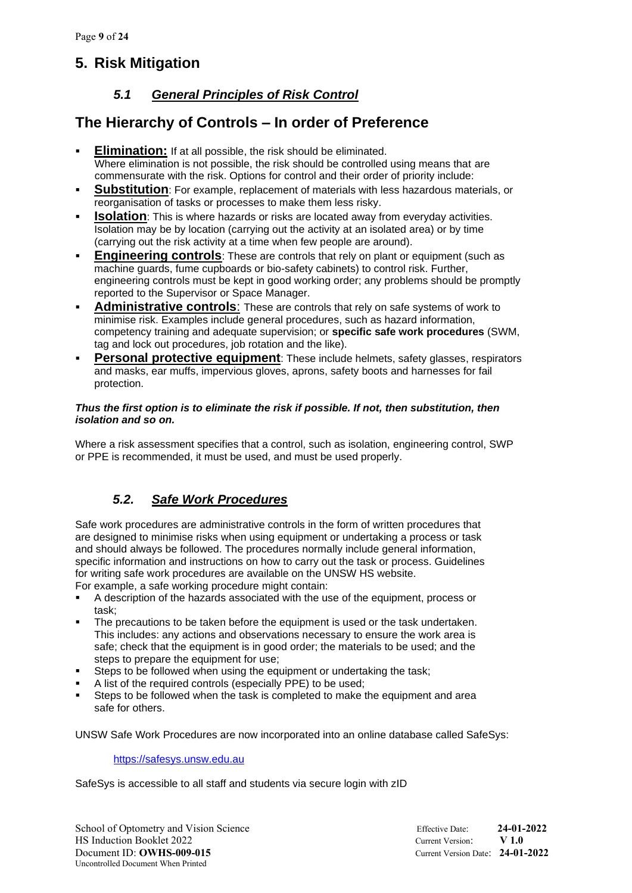## **5. Risk Mitigation**

### *5.1 General Principles of Risk Control*

### **The Hierarchy of Controls – In order of Preference**

- **Elimination:** If at all possible, the risk should be eliminated. Where elimination is not possible, the risk should be controlled using means that are commensurate with the risk. Options for control and their order of priority include:
- **Substitution**: For example, replacement of materials with less hazardous materials, or reorganisation of tasks or processes to make them less risky.
- **Isolation**: This is where hazards or risks are located away from everyday activities. Isolation may be by location (carrying out the activity at an isolated area) or by time (carrying out the risk activity at a time when few people are around).
- **Engineering controls**: These are controls that rely on plant or equipment (such as machine guards, fume cupboards or bio-safety cabinets) to control risk. Further, engineering controls must be kept in good working order; any problems should be promptly reported to the Supervisor or Space Manager.
- Administrative controls: These are controls that rely on safe systems of work to minimise risk. Examples include general procedures, such as hazard information, competency training and adequate supervision; or **specific safe work procedures** (SWM, tag and lock out procedures, job rotation and the like).
- **Personal protective equipment:** These include helmets, safety glasses, respirators and masks, ear muffs, impervious gloves, aprons, safety boots and harnesses for fail protection.

#### *Thus the first option is to eliminate the risk if possible. If not, then substitution, then isolation and so on.*

Where a risk assessment specifies that a control, such as isolation, engineering control, SWP or PPE is recommended, it must be used, and must be used properly.

### *5.2. Safe Work Procedures*

Safe work procedures are administrative controls in the form of written procedures that are designed to minimise risks when using equipment or undertaking a process or task and should always be followed. The procedures normally include general information, specific information and instructions on how to carry out the task or process. Guidelines for writing safe work procedures are available on the UNSW HS website.

For example, a safe working procedure might contain:

- A description of the hazards associated with the use of the equipment, process or task;
- The precautions to be taken before the equipment is used or the task undertaken. This includes: any actions and observations necessary to ensure the work area is safe; check that the equipment is in good order; the materials to be used; and the steps to prepare the equipment for use;
- Steps to be followed when using the equipment or undertaking the task;
- A list of the required controls (especially PPE) to be used;
- Steps to be followed when the task is completed to make the equipment and area safe for others.

UNSW Safe Work Procedures are now incorporated into an online database called SafeSys:

[https://safesys.unsw.edu.au](https://safesys.unsw.edu.au/)

SafeSys is accessible to all staff and students via secure login with zID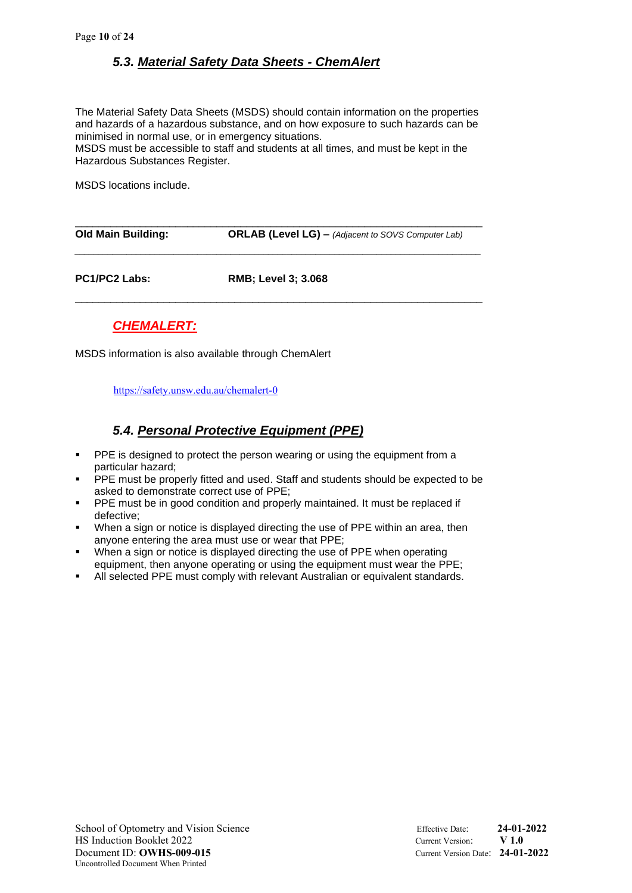### *5.3. Material Safety Data Sheets - ChemAlert*

The Material Safety Data Sheets (MSDS) should contain information on the properties and hazards of a hazardous substance, and on how exposure to such hazards can be minimised in normal use, or in emergency situations.

MSDS must be accessible to staff and students at all times, and must be kept in the Hazardous Substances Register.

MSDS locations include.

| <b>Old Main Building:</b> | <b>ORLAB (Level LG)</b> - (Adjacent to SOVS Computer Lab) |
|---------------------------|-----------------------------------------------------------|
|                           |                                                           |

**PC1/PC2 Labs: RMB; Level 3; 3.068** \_\_\_\_\_\_\_\_\_\_\_\_\_\_\_\_\_\_\_\_\_\_\_\_\_\_\_\_\_\_\_\_\_\_\_\_\_\_\_\_\_\_\_\_\_\_\_\_\_\_\_\_\_\_\_\_\_\_\_\_\_\_\_\_\_\_\_\_\_

### *CHEMALERT:*

MSDS information is also available through ChemAlert

<https://safety.unsw.edu.au/chemalert-0>

### *5.4. Personal Protective Equipment (PPE)*

- **PPE** is designed to protect the person wearing or using the equipment from a particular hazard;
- **•** PPE must be properly fitted and used. Staff and students should be expected to be asked to demonstrate correct use of PPE;
- **•** PPE must be in good condition and properly maintained. It must be replaced if defective;
- **•** When a sign or notice is displayed directing the use of PPE within an area, then anyone entering the area must use or wear that PPE;
- When a sign or notice is displayed directing the use of PPE when operating equipment, then anyone operating or using the equipment must wear the PPE;
- All selected PPE must comply with relevant Australian or equivalent standards.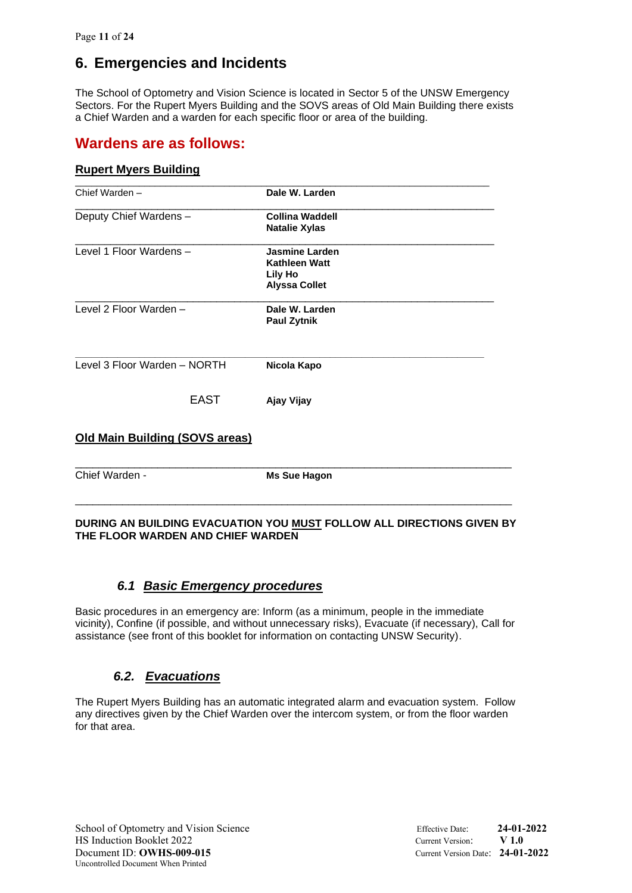## **6. Emergencies and Incidents**

The School of Optometry and Vision Science is located in Sector 5 of the UNSW Emergency Sectors. For the Rupert Myers Building and the SOVS areas of Old Main Building there exists a Chief Warden and a warden for each specific floor or area of the building.

### **Wardens are as follows:**

#### **Rupert Myers Building**

| Chief Warden -                        | Dale W. Larden                                                                          |
|---------------------------------------|-----------------------------------------------------------------------------------------|
| Deputy Chief Wardens -                | <b>Collina Waddell</b><br><b>Natalie Xylas</b>                                          |
| Level 1 Floor Wardens -               | <b>Jasmine Larden</b><br><b>Kathleen Watt</b><br><b>Lily Ho</b><br><b>Alyssa Collet</b> |
| Level 2 Floor Warden -                | Dale W. Larden<br><b>Paul Zytnik</b>                                                    |
| Level 3 Floor Warden - NORTH          | Nicola Kapo                                                                             |
| <b>EAST</b>                           | Ajay Vijay                                                                              |
| <b>Old Main Building (SOVS areas)</b> |                                                                                         |
| Chief Warden -                        | <b>Ms Sue Hagon</b>                                                                     |

#### **DURING AN BUILDING EVACUATION YOU MUST FOLLOW ALL DIRECTIONS GIVEN BY THE FLOOR WARDEN AND CHIEF WARDEN**

### *6.1 Basic Emergency procedures*

Basic procedures in an emergency are: Inform (as a minimum, people in the immediate vicinity), Confine (if possible, and without unnecessary risks), Evacuate (if necessary), Call for assistance (see front of this booklet for information on contacting UNSW Security).

### *6.2. Evacuations*

The Rupert Myers Building has an automatic integrated alarm and evacuation system. Follow any directives given by the Chief Warden over the intercom system, or from the floor warden for that area.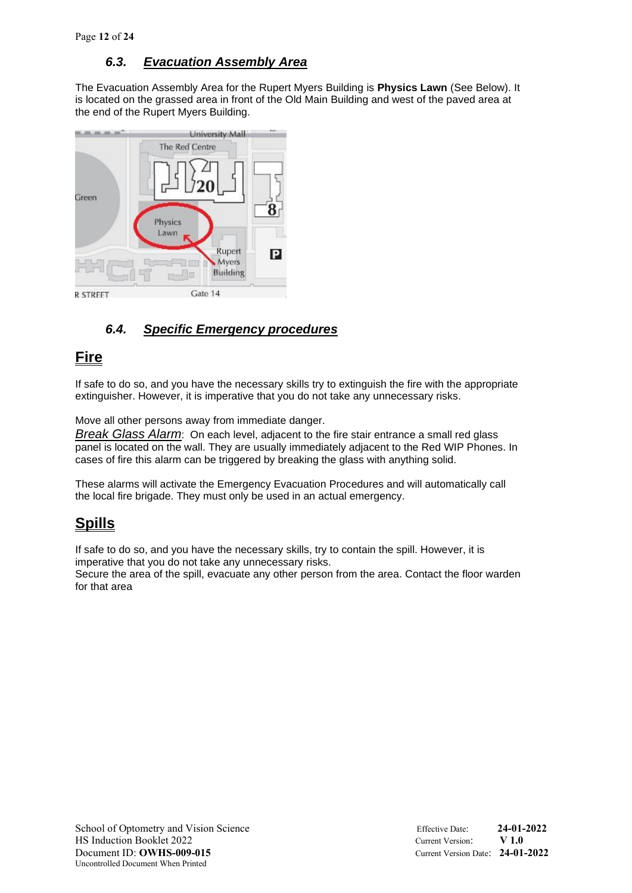### *6.3. Evacuation Assembly Area*

The Evacuation Assembly Area for the Rupert Myers Building is **Physics Lawn** (See Below). It is located on the grassed area in front of the Old Main Building and west of the paved area at the end of the Rupert Myers Building.



### *6.4. Specific Emergency procedures*

## **Fire**

If safe to do so, and you have the necessary skills try to extinguish the fire with the appropriate extinguisher. However, it is imperative that you do not take any unnecessary risks.

Move all other persons away from immediate danger.

*Break Glass Alarm*: On each level, adjacent to the fire stair entrance a small red glass panel is located on the wall. They are usually immediately adjacent to the Red WIP Phones. In cases of fire this alarm can be triggered by breaking the glass with anything solid.

These alarms will activate the Emergency Evacuation Procedures and will automatically call the local fire brigade. They must only be used in an actual emergency.

## **Spills**

If safe to do so, and you have the necessary skills, try to contain the spill. However, it is imperative that you do not take any unnecessary risks.

Secure the area of the spill, evacuate any other person from the area. Contact the floor warden for that area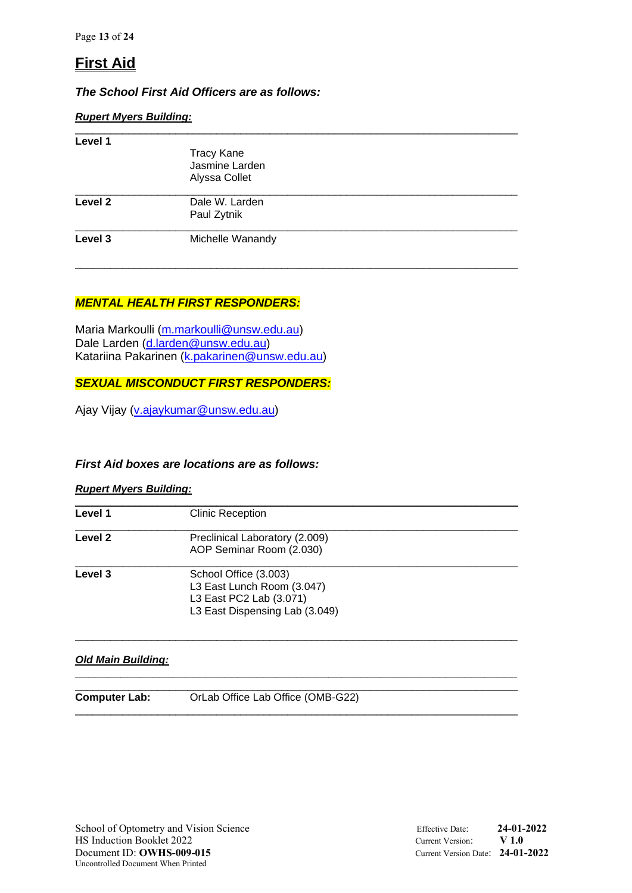## **First Aid**

### *The School First Aid Officers are as follows:*

#### *Rupert Myers Building:*

| Level 1            |                                                      |  |
|--------------------|------------------------------------------------------|--|
|                    | <b>Tracy Kane</b><br>Jasmine Larden<br>Alyssa Collet |  |
| Level <sub>2</sub> | Dale W. Larden<br>Paul Zytnik                        |  |
| Level 3            | Michelle Wanandy                                     |  |

\_\_\_\_\_\_\_\_\_\_\_\_\_\_\_\_\_\_\_\_\_\_\_\_\_\_\_\_\_\_\_\_\_\_\_\_\_\_\_\_\_\_\_\_\_\_\_\_\_\_\_\_\_\_\_\_\_\_\_\_\_\_\_\_\_\_\_\_\_\_\_\_\_\_\_

### *MENTAL HEALTH FIRST RESPONDERS:*

Maria Markoulli [\(m.markoulli@unsw.edu.au\)](mailto:m.markoulli@unsw.edu.au) Dale Larden [\(d.larden@unsw.edu.au\)](mailto:d.larden@unsw.edu.au) Katariina Pakarinen [\(k.pakarinen@unsw.edu.au\)](mailto:k.pakarinen@unsw.edu.au)

#### *SEXUAL MISCONDUCT FIRST RESPONDERS:*

Ajay Vijay [\(v.ajaykumar@unsw.edu.au\)](mailto:v.ajaykumar@unsw.edu.au)

#### *First Aid boxes are locations are as follows:*

#### *Rupert Myers Building:*

| Level 1 | <b>Clinic Reception</b>                                                                                          |  |
|---------|------------------------------------------------------------------------------------------------------------------|--|
| Level 2 | Preclinical Laboratory (2.009)<br>AOP Seminar Room (2.030)                                                       |  |
| Level 3 | School Office (3.003)<br>L3 East Lunch Room (3.047)<br>L3 East PC2 Lab (3.071)<br>L3 East Dispensing Lab (3.049) |  |

**\_\_\_\_\_\_\_\_\_\_\_\_\_\_\_\_\_\_\_\_\_\_\_\_\_\_\_\_\_\_\_\_\_\_\_\_\_\_\_\_\_\_\_\_\_\_\_\_\_\_\_\_\_\_\_\_\_\_\_\_\_\_\_\_\_\_\_\_**

\_\_\_\_\_\_\_\_\_\_\_\_\_\_\_\_\_\_\_\_\_\_\_\_\_\_\_\_\_\_\_\_\_\_\_\_\_\_\_\_\_\_\_\_\_\_\_\_\_\_\_\_\_\_\_\_\_\_\_\_\_\_\_\_\_\_\_\_\_\_\_\_\_\_\_

#### *Old Main Building:*

\_\_\_\_\_\_\_\_\_\_\_\_\_\_\_\_\_\_\_\_\_\_\_\_\_\_\_\_\_\_\_\_\_\_\_\_\_\_\_\_\_\_\_\_\_\_\_\_\_\_\_\_\_\_\_\_\_\_\_\_\_\_\_\_\_\_\_\_\_\_\_\_\_\_\_

**Computer Lab:** OrLab Office Lab Office (OMB-G22)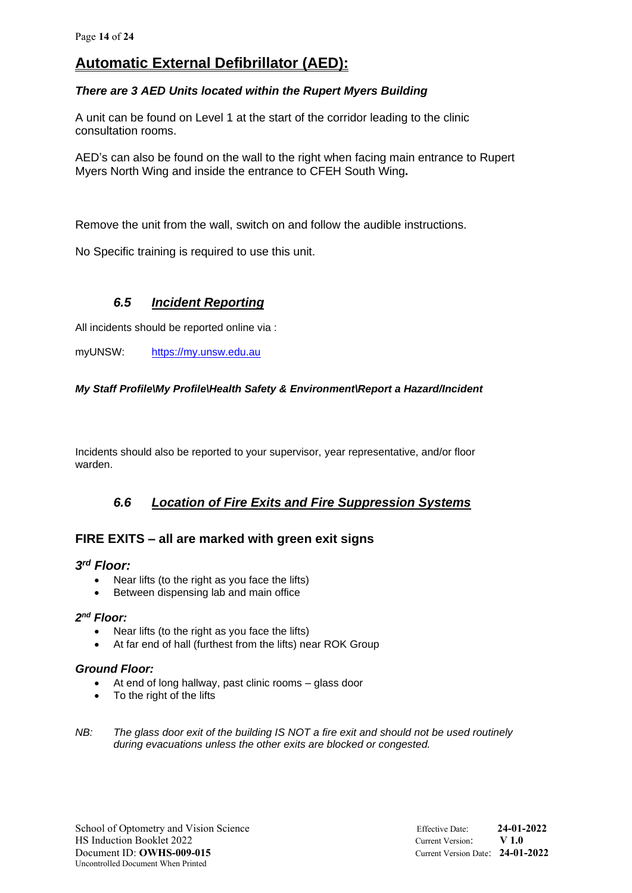## **Automatic External Defibrillator (AED):**

#### *There are 3 AED Units located within the Rupert Myers Building*

A unit can be found on Level 1 at the start of the corridor leading to the clinic consultation rooms.

AED's can also be found on the wall to the right when facing main entrance to Rupert Myers North Wing and inside the entrance to CFEH South Wing**.**

Remove the unit from the wall, switch on and follow the audible instructions.

No Specific training is required to use this unit.

### *6.5 Incident Reporting*

All incidents should be reported online via :

myUNSW: [https://my.unsw.edu.au](https://my.unsw.edu.au/)

#### *My Staff Profile\My Profile\Health Safety & Environment\Report a Hazard/Incident*

Incidents should also be reported to your supervisor, year representative, and/or floor warden.

### *6.6 Location of Fire Exits and Fire Suppression Systems*

### **FIRE EXITS – all are marked with green exit signs**

#### *3 rd Floor:*

- Near lifts (to the right as you face the lifts)
- Between dispensing lab and main office

#### *2 nd Floor:*

- Near lifts (to the right as you face the lifts)
- At far end of hall (furthest from the lifts) near ROK Group

#### *Ground Floor:*

- At end of long hallway, past clinic rooms glass door
- To the right of the lifts
- *NB: The glass door exit of the building IS NOT a fire exit and should not be used routinely during evacuations unless the other exits are blocked or congested.*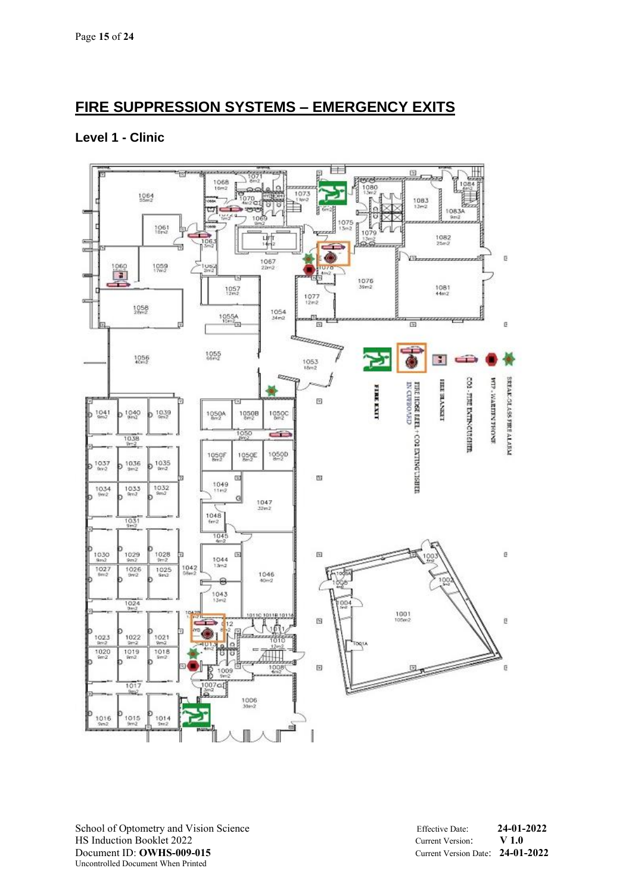## **FIRE SUPPRESSION SYSTEMS – EMERGENCY EXITS**

### **Level 1 - Clinic**



School of Optometry and Vision Science Effective Date: **24-01-2022** HS Induction Booklet 2022 Current Version: **V 1.0** Document ID: **OWHS-009-015** Current Version Date: **24-01-2022** Uncontrolled Document When Printed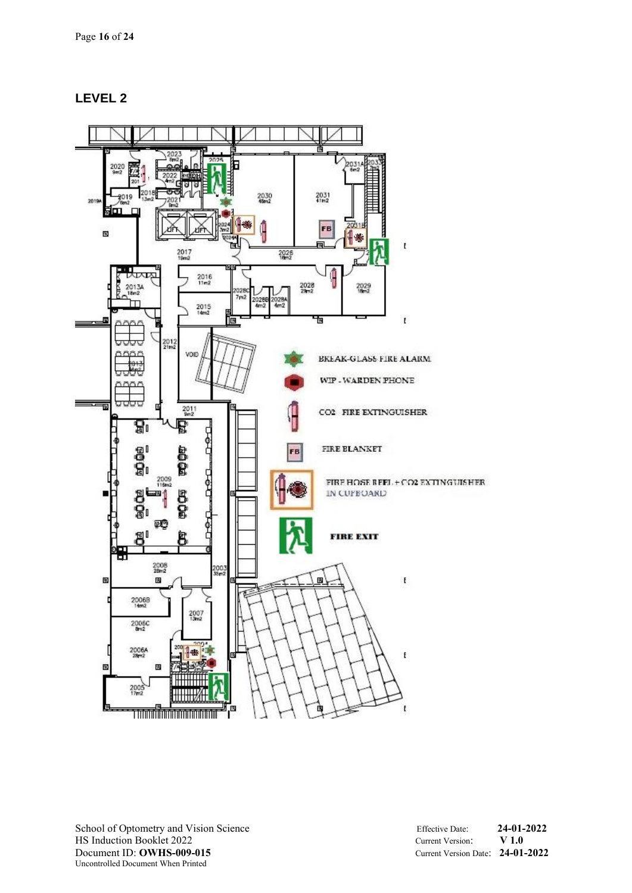### **LEVEL 2**

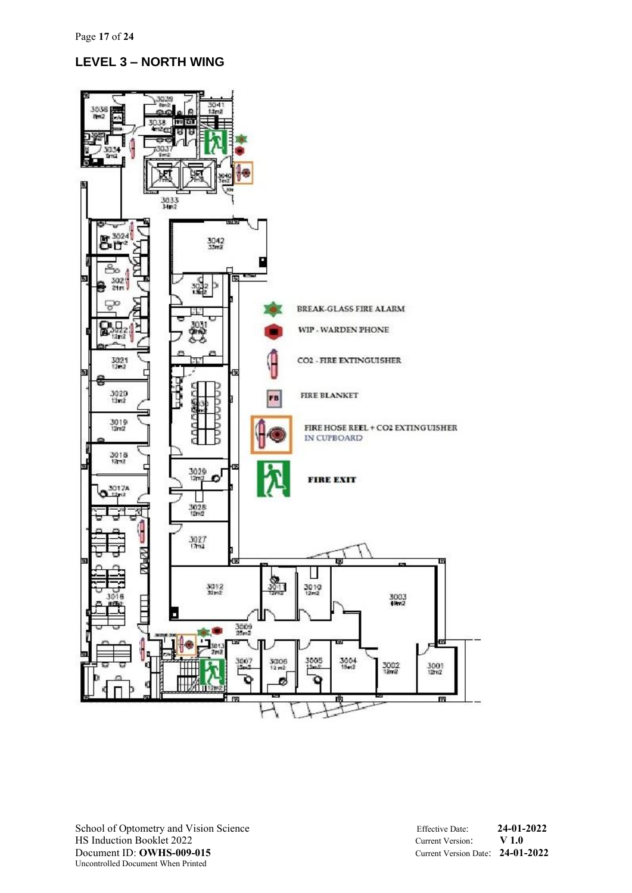### **LEVEL 3 – NORTH WING**

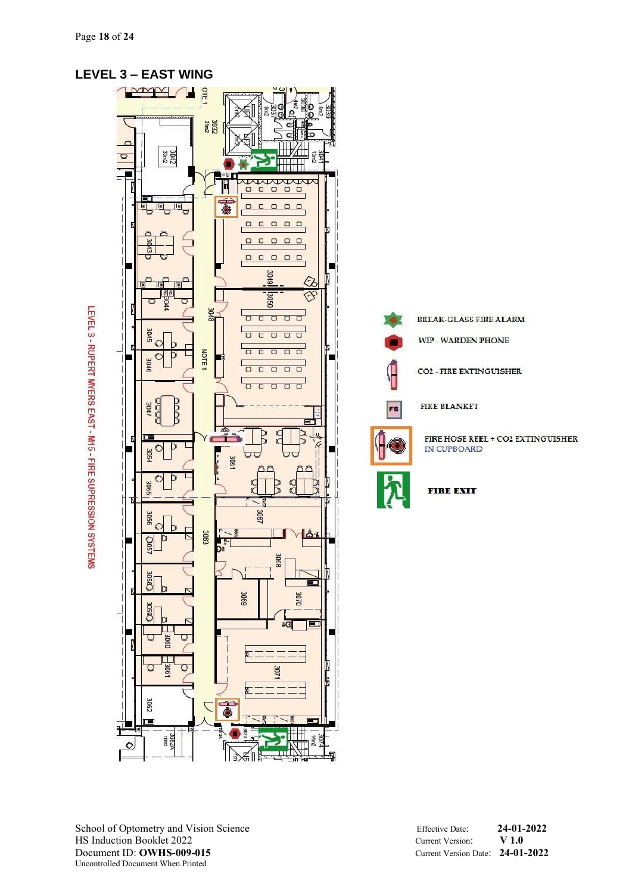

### School of Optometry and Vision Science Effective Date: **24-01-2022** HS Induction Booklet 2022<br>
Document ID: **OWHS-009-015**<br>
Current Version Date: 24-01 Uncontrolled Document When Printed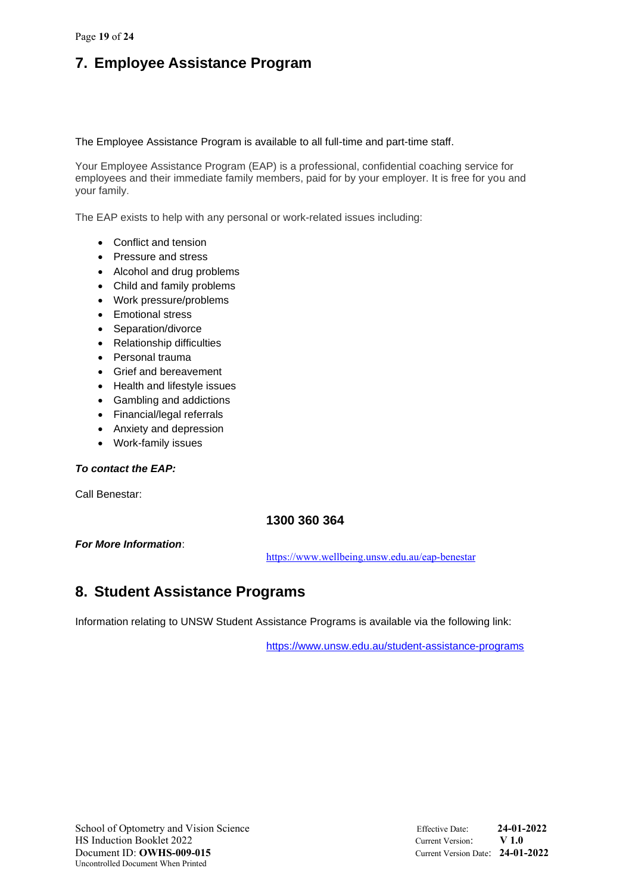## **7. Employee Assistance Program**

The Employee Assistance Program is available to all full-time and part-time staff.

Your Employee Assistance Program (EAP) is a professional, confidential coaching service for employees and their immediate family members, paid for by your employer. It is free for you and your family.

The EAP exists to help with any personal or work-related issues including:

- Conflict and tension
- Pressure and stress
- Alcohol and drug problems
- Child and family problems
- Work pressure/problems
- Emotional stress
- Separation/divorce
- Relationship difficulties
- Personal trauma
- Grief and bereavement
- Health and lifestyle issues
- Gambling and addictions
- Financial/legal referrals
- Anxiety and depression
- Work-family issues

#### *To contact the EAP:*

Call Benestar:

### **1300 360 364**

#### *For More Information*:

<https://www.wellbeing.unsw.edu.au/eap-benestar>

## **8. Student Assistance Programs**

Information relating to UNSW Student Assistance Programs is available via the following link:

<https://www.unsw.edu.au/student-assistance-programs>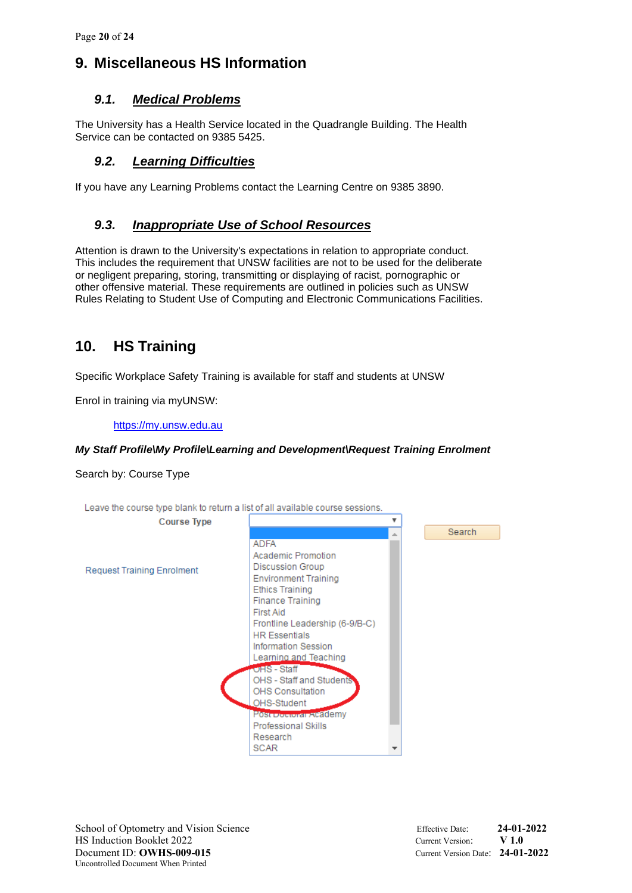## **9. Miscellaneous HS Information**

### *9.1. Medical Problems*

The University has a Health Service located in the Quadrangle Building. The Health Service can be contacted on 9385 5425.

### *9.2. Learning Difficulties*

If you have any Learning Problems contact the Learning Centre on 9385 3890.

#### *9.3. Inappropriate Use of School Resources*

Attention is drawn to the University's expectations in relation to appropriate conduct. This includes the requirement that UNSW facilities are not to be used for the deliberate or negligent preparing, storing, transmitting or displaying of racist, pornographic or other offensive material. These requirements are outlined in policies such as UNSW Rules Relating to Student Use of Computing and Electronic Communications Facilities.

### **10. HS Training**

Specific Workplace Safety Training is available for staff and students at UNSW

Enrol in training via myUNSW:

[https://my.unsw.edu.au](https://my.unsw.edu.au/)

#### *My Staff Profile\My Profile\Learning and Development\Request Training Enrolment*

Search by: Course Type

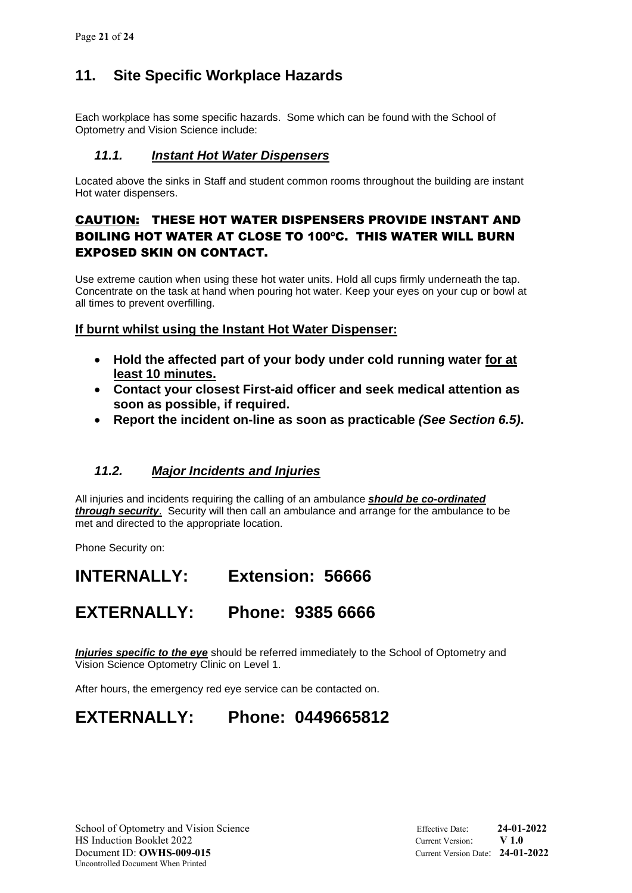## **11. Site Specific Workplace Hazards**

Each workplace has some specific hazards. Some which can be found with the School of Optometry and Vision Science include:

### *11.1. Instant Hot Water Dispensers*

Located above the sinks in Staff and student common rooms throughout the building are instant Hot water dispensers.

### CAUTION: THESE HOT WATER DISPENSERS PROVIDE INSTANT AND BOILING HOT WATER AT CLOSE TO 100ºC. THIS WATER WILL BURN EXPOSED SKIN ON CONTACT.

Use extreme caution when using these hot water units. Hold all cups firmly underneath the tap. Concentrate on the task at hand when pouring hot water. Keep your eyes on your cup or bowl at all times to prevent overfilling.

### **If burnt whilst using the Instant Hot Water Dispenser:**

- **Hold the affected part of your body under cold running water for at least 10 minutes.**
- **Contact your closest First-aid officer and seek medical attention as soon as possible, if required.**
- **Report the incident on-line as soon as practicable** *(See Section 6.5)***.**

### *11.2. Major Incidents and Injuries*

All injuries and incidents requiring the calling of an ambulance *should be co-ordinated through security*. Security will then call an ambulance and arrange for the ambulance to be met and directed to the appropriate location.

Phone Security on:

## **INTERNALLY: Extension: 56666**

## **EXTERNALLY: Phone: 9385 6666**

*Injuries specific to the eye* should be referred immediately to the School of Optometry and Vision Science Optometry Clinic on Level 1.

After hours, the emergency red eye service can be contacted on.

# **EXTERNALLY: Phone: 0449665812**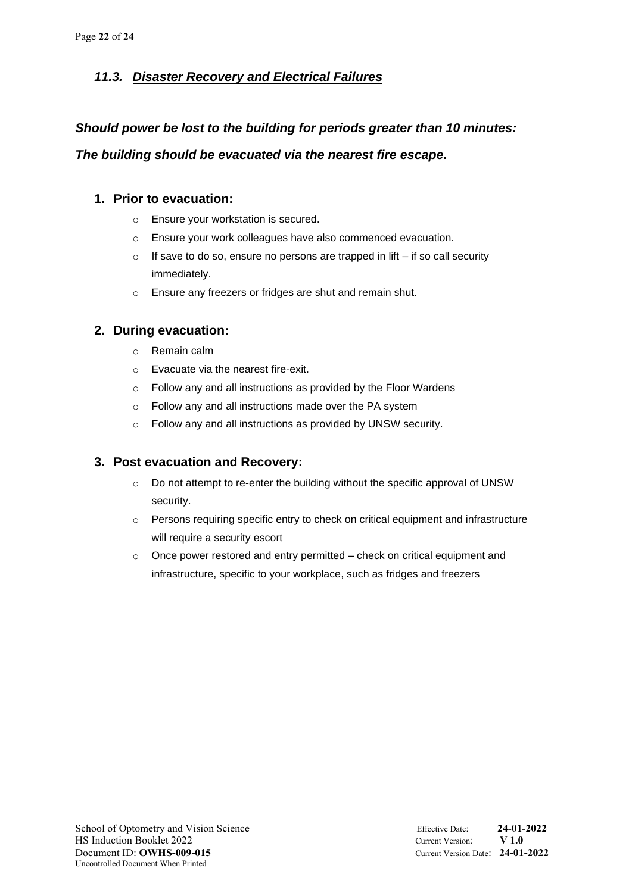### *11.3. Disaster Recovery and Electrical Failures*

### *Should power be lost to the building for periods greater than 10 minutes:*

*The building should be evacuated via the nearest fire escape.*

### **1. Prior to evacuation:**

- o Ensure your workstation is secured.
- o Ensure your work colleagues have also commenced evacuation.
- $\circ$  If save to do so, ensure no persons are trapped in lift if so call security immediately.
- o Ensure any freezers or fridges are shut and remain shut.

### **2. During evacuation:**

- o Remain calm
- o Evacuate via the nearest fire-exit.
- o Follow any and all instructions as provided by the Floor Wardens
- o Follow any and all instructions made over the PA system
- o Follow any and all instructions as provided by UNSW security.

### **3. Post evacuation and Recovery:**

- o Do not attempt to re-enter the building without the specific approval of UNSW security.
- o Persons requiring specific entry to check on critical equipment and infrastructure will require a security escort
- o Once power restored and entry permitted check on critical equipment and infrastructure, specific to your workplace, such as fridges and freezers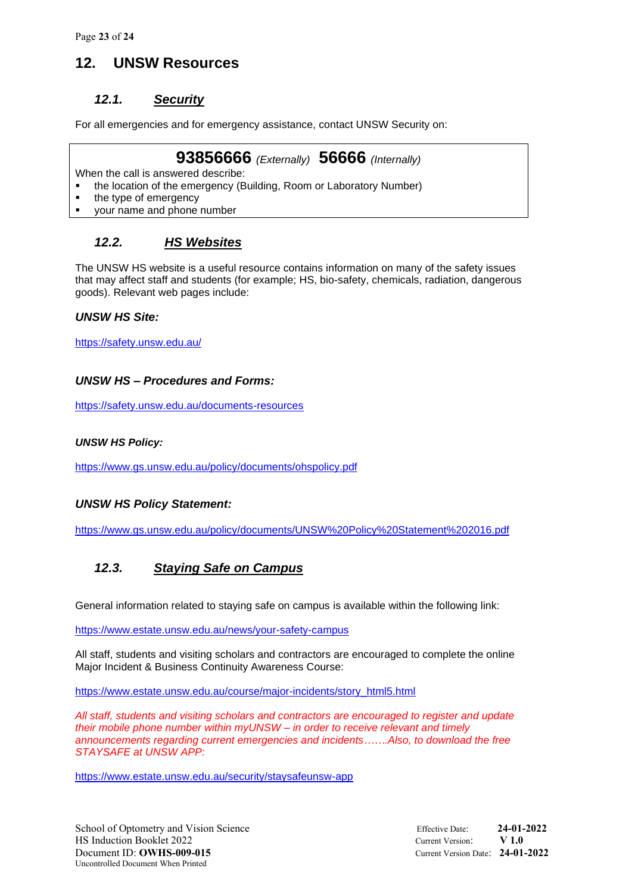Page **23** of **24**

### **12. UNSW Resources**

### *12.1. Security*

For all emergencies and for emergency assistance, contact UNSW Security on:

### **93856666** *(Externally)* **56666** *(Internally)*

When the call is answered describe:

- the location of the emergency (Building, Room or Laboratory Number)
- the type of emergency
- your name and phone number

### *12.2. HS Websites*

The UNSW HS website is a useful resource contains information on many of the safety issues that may affect staff and students (for example; HS, bio-safety, chemicals, radiation, dangerous goods). Relevant web pages include:

#### *UNSW HS Site:*

<https://safety.unsw.edu.au/>

#### *UNSW HS – Procedures and Forms:*

<https://safety.unsw.edu.au/documents-resources>

#### *UNSW HS Policy:*

<https://www.gs.unsw.edu.au/policy/documents/ohspolicy.pdf>

#### *UNSW HS Policy Statement:*

<https://www.gs.unsw.edu.au/policy/documents/UNSW%20Policy%20Statement%202016.pdf>

### *12.3. Staying Safe on Campus*

General information related to staying safe on campus is available within the following link:

<https://www.estate.unsw.edu.au/news/your-safety-campus>

All staff, students and visiting scholars and contractors are encouraged to complete the online Major Incident & Business Continuity Awareness Course:

[https://www.estate.unsw.edu.au/course/major-incidents/story\\_html5.html](https://www.estate.unsw.edu.au/course/major-incidents/story_html5.html)

*All staff, students and visiting scholars and contractors are encouraged to register and update their mobile phone number within myUNSW – in order to receive relevant and timely announcements regarding current emergencies and incidents…….Also, to download the free STAYSAFE at UNSW APP:*

<https://www.estate.unsw.edu.au/security/staysafeunsw-app>